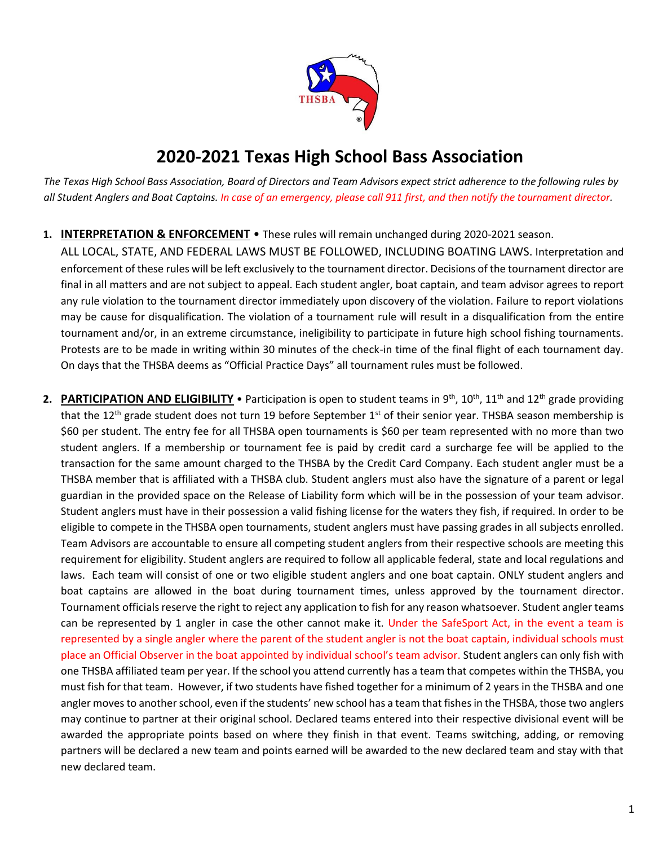

## **2020-2021 Texas High School Bass Association**

*The Texas High School Bass Association, Board of Directors and Team Advisors expect strict adherence to the following rules by all Student Anglers and Boat Captains. In case of an emergency, please call 911 first, and then notify the tournament director.* 

### **1. INTERPRETATION & ENFORCEMENT** • These rules will remain unchanged during 2020-2021 season.

ALL LOCAL, STATE, AND FEDERAL LAWS MUST BE FOLLOWED, INCLUDING BOATING LAWS. Interpretation and enforcement of these rules will be left exclusively to the tournament director. Decisions of the tournament director are final in all matters and are not subject to appeal. Each student angler, boat captain, and team advisor agrees to report any rule violation to the tournament director immediately upon discovery of the violation. Failure to report violations may be cause for disqualification. The violation of a tournament rule will result in a disqualification from the entire tournament and/or, in an extreme circumstance, ineligibility to participate in future high school fishing tournaments. Protests are to be made in writing within 30 minutes of the check-in time of the final flight of each tournament day. On days that the THSBA deems as "Official Practice Days" all tournament rules must be followed.

2. **PARTICIPATION AND ELIGIBILITY** • Participation is open to student teams in 9<sup>th</sup>, 10<sup>th</sup>, 11<sup>th</sup> and 12<sup>th</sup> grade providing that the 12<sup>th</sup> grade student does not turn 19 before September 1<sup>st</sup> of their senior year. THSBA season membership is \$60 per student. The entry fee for all THSBA open tournaments is \$60 per team represented with no more than two student anglers. If a membership or tournament fee is paid by credit card a surcharge fee will be applied to the transaction for the same amount charged to the THSBA by the Credit Card Company. Each student angler must be a THSBA member that is affiliated with a THSBA club. Student anglers must also have the signature of a parent or legal guardian in the provided space on the Release of Liability form which will be in the possession of your team advisor. Student anglers must have in their possession a valid fishing license for the waters they fish, if required. In order to be eligible to compete in the THSBA open tournaments, student anglers must have passing grades in all subjects enrolled. Team Advisors are accountable to ensure all competing student anglers from their respective schools are meeting this requirement for eligibility. Student anglers are required to follow all applicable federal, state and local regulations and laws. Each team will consist of one or two eligible student anglers and one boat captain. ONLY student anglers and boat captains are allowed in the boat during tournament times, unless approved by the tournament director. Tournament officials reserve the right to reject any application to fish for any reason whatsoever. Student angler teams can be represented by 1 angler in case the other cannot make it. Under the SafeSport Act, in the event a team is represented by a single angler where the parent of the student angler is not the boat captain, individual schools must place an Official Observer in the boat appointed by individual school's team advisor. Student anglers can only fish with one THSBA affiliated team per year. If the school you attend currently has a team that competes within the THSBA, you must fish for that team. However, if two students have fished together for a minimum of 2 years in the THSBA and one angler moves to another school, even if the students' new school has a team that fishes in the THSBA, those two anglers may continue to partner at their original school. Declared teams entered into their respective divisional event will be awarded the appropriate points based on where they finish in that event. Teams switching, adding, or removing partners will be declared a new team and points earned will be awarded to the new declared team and stay with that new declared team.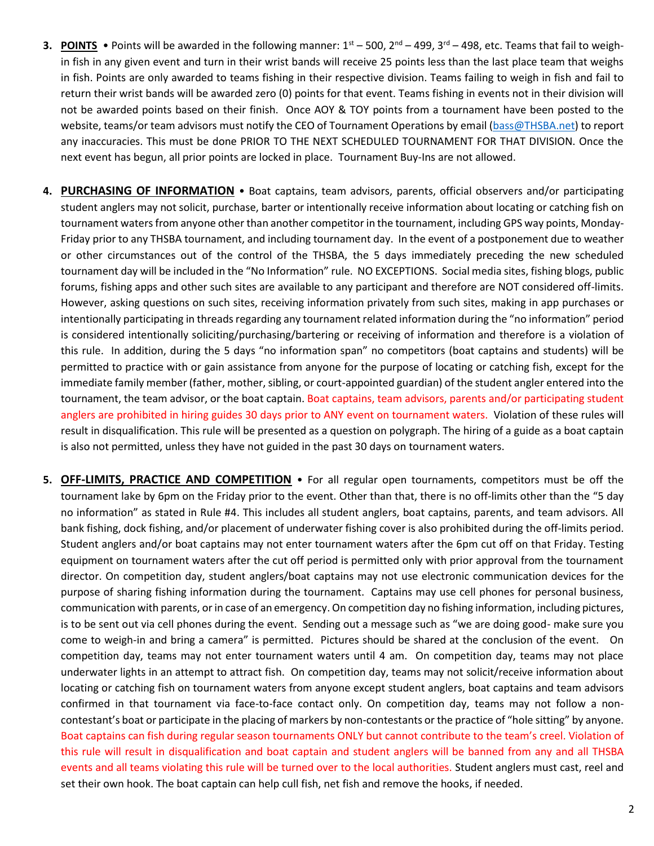- **3. POINTS** Points will be awarded in the following manner:  $1^{st}$  500,  $2^{nd}$  499,  $3^{rd}$  498, etc. Teams that fail to weighin fish in any given event and turn in their wrist bands will receive 25 points less than the last place team that weighs in fish. Points are only awarded to teams fishing in their respective division. Teams failing to weigh in fish and fail to return their wrist bands will be awarded zero (0) points for that event. Teams fishing in events not in their division will not be awarded points based on their finish. Once AOY & TOY points from a tournament have been posted to the website, teams/or team advisors must notify the CEO of Tournament Operations by email [\(bass@THSBA.net\)](mailto:bass@THSBA.net) to report any inaccuracies. This must be done PRIOR TO THE NEXT SCHEDULED TOURNAMENT FOR THAT DIVISION. Once the next event has begun, all prior points are locked in place. Tournament Buy-Ins are not allowed.
- **4. PURCHASING OF INFORMATION** Boat captains, team advisors, parents, official observers and/or participating student anglers may not solicit, purchase, barter or intentionally receive information about locating or catching fish on tournament waters from anyone other than another competitor in the tournament, including GPS way points, Monday-Friday prior to any THSBA tournament, and including tournament day. In the event of a postponement due to weather or other circumstances out of the control of the THSBA, the 5 days immediately preceding the new scheduled tournament day will be included in the "No Information" rule. NO EXCEPTIONS. Social media sites, fishing blogs, public forums, fishing apps and other such sites are available to any participant and therefore are NOT considered off-limits. However, asking questions on such sites, receiving information privately from such sites, making in app purchases or intentionally participating in threads regarding any tournament related information during the "no information" period is considered intentionally soliciting/purchasing/bartering or receiving of information and therefore is a violation of this rule. In addition, during the 5 days "no information span" no competitors (boat captains and students) will be permitted to practice with or gain assistance from anyone for the purpose of locating or catching fish, except for the immediate family member (father, mother, sibling, or court-appointed guardian) of the student angler entered into the tournament, the team advisor, or the boat captain. Boat captains, team advisors, parents and/or participating student anglers are prohibited in hiring guides 30 days prior to ANY event on tournament waters. Violation of these rules will result in disqualification. This rule will be presented as a question on polygraph. The hiring of a guide as a boat captain is also not permitted, unless they have not guided in the past 30 days on tournament waters.
- **5. OFF-LIMITS, PRACTICE AND COMPETITION** For all regular open tournaments, competitors must be off the tournament lake by 6pm on the Friday prior to the event. Other than that, there is no off-limits other than the "5 day no information" as stated in Rule #4. This includes all student anglers, boat captains, parents, and team advisors. All bank fishing, dock fishing, and/or placement of underwater fishing cover is also prohibited during the off-limits period. Student anglers and/or boat captains may not enter tournament waters after the 6pm cut off on that Friday. Testing equipment on tournament waters after the cut off period is permitted only with prior approval from the tournament director. On competition day, student anglers/boat captains may not use electronic communication devices for the purpose of sharing fishing information during the tournament. Captains may use cell phones for personal business, communication with parents, or in case of an emergency. On competition day no fishing information, including pictures, is to be sent out via cell phones during the event. Sending out a message such as "we are doing good- make sure you come to weigh-in and bring a camera" is permitted. Pictures should be shared at the conclusion of the event. On competition day, teams may not enter tournament waters until 4 am. On competition day, teams may not place underwater lights in an attempt to attract fish. On competition day, teams may not solicit/receive information about locating or catching fish on tournament waters from anyone except student anglers, boat captains and team advisors confirmed in that tournament via face-to-face contact only. On competition day, teams may not follow a noncontestant's boat or participate in the placing of markers by non-contestants or the practice of "hole sitting" by anyone. Boat captains can fish during regular season tournaments ONLY but cannot contribute to the team's creel. Violation of this rule will result in disqualification and boat captain and student anglers will be banned from any and all THSBA events and all teams violating this rule will be turned over to the local authorities. Student anglers must cast, reel and set their own hook. The boat captain can help cull fish, net fish and remove the hooks, if needed.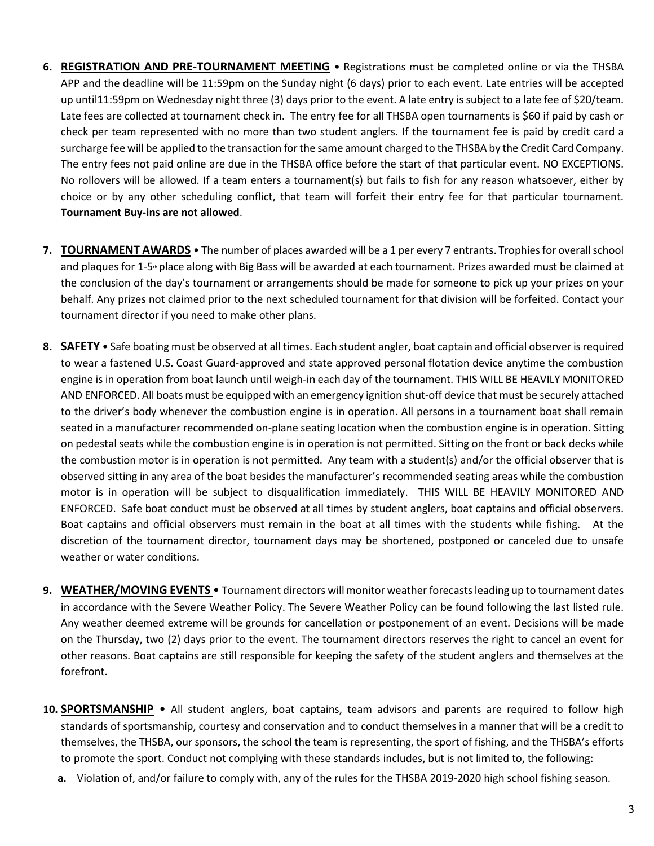- **6. REGISTRATION AND PRE-TOURNAMENT MEETING** Registrations must be completed online or via the THSBA APP and the deadline will be 11:59pm on the Sunday night (6 days) prior to each event. Late entries will be accepted up until11:59pm on Wednesday night three (3) days prior to the event. A late entry is subject to a late fee of \$20/team. Late fees are collected at tournament check in. The entry fee for all THSBA open tournaments is \$60 if paid by cash or check per team represented with no more than two student anglers. If the tournament fee is paid by credit card a surcharge fee will be applied to the transaction forthe same amount charged to the THSBA by the Credit Card Company. The entry fees not paid online are due in the THSBA office before the start of that particular event. NO EXCEPTIONS. No rollovers will be allowed. If a team enters a tournament(s) but fails to fish for any reason whatsoever, either by choice or by any other scheduling conflict, that team will forfeit their entry fee for that particular tournament. **Tournament Buy-ins are not allowed**.
- **7. TOURNAMENT AWARDS** The number of places awarded will be a 1 per every 7 entrants. Trophies for overall school and plaques for 1-5<sup>th</sup> place along with Big Bass will be awarded at each tournament. Prizes awarded must be claimed at the conclusion of the day's tournament or arrangements should be made for someone to pick up your prizes on your behalf. Any prizes not claimed prior to the next scheduled tournament for that division will be forfeited. Contact your tournament director if you need to make other plans.
- **8. SAFETY** Safe boating must be observed at all times. Each student angler, boat captain and official observer is required to wear a fastened U.S. Coast Guard-approved and state approved personal flotation device anytime the combustion engine is in operation from boat launch until weigh-in each day of the tournament. THIS WILL BE HEAVILY MONITORED AND ENFORCED. All boats must be equipped with an emergency ignition shut-off device that must be securely attached to the driver's body whenever the combustion engine is in operation. All persons in a tournament boat shall remain seated in a manufacturer recommended on-plane seating location when the combustion engine is in operation. Sitting on pedestal seats while the combustion engine is in operation is not permitted. Sitting on the front or back decks while the combustion motor is in operation is not permitted. Any team with a student(s) and/or the official observer that is observed sitting in any area of the boat besides the manufacturer's recommended seating areas while the combustion motor is in operation will be subject to disqualification immediately. THIS WILL BE HEAVILY MONITORED AND ENFORCED. Safe boat conduct must be observed at all times by student anglers, boat captains and official observers. Boat captains and official observers must remain in the boat at all times with the students while fishing. At the discretion of the tournament director, tournament days may be shortened, postponed or canceled due to unsafe weather or water conditions.
- **9. WEATHER/MOVING EVENTS**  Tournament directors will monitor weather forecastsleading up to tournament dates in accordance with the Severe Weather Policy. The Severe Weather Policy can be found following the last listed rule. Any weather deemed extreme will be grounds for cancellation or postponement of an event. Decisions will be made on the Thursday, two (2) days prior to the event. The tournament directors reserves the right to cancel an event for other reasons. Boat captains are still responsible for keeping the safety of the student anglers and themselves at the forefront.
- **10. SPORTSMANSHIP** All student anglers, boat captains, team advisors and parents are required to follow high standards of sportsmanship, courtesy and conservation and to conduct themselves in a manner that will be a credit to themselves, the THSBA, our sponsors, the school the team is representing, the sport of fishing, and the THSBA's efforts to promote the sport. Conduct not complying with these standards includes, but is not limited to, the following:
	- **a.** Violation of, and/or failure to comply with, any of the rules for the THSBA 2019-2020 high school fishing season.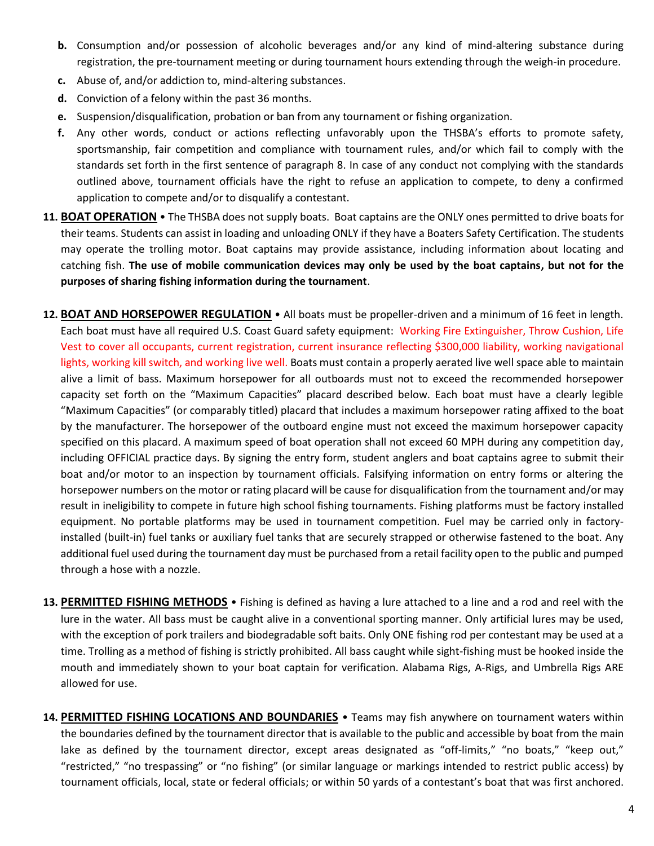- **b.** Consumption and/or possession of alcoholic beverages and/or any kind of mind-altering substance during registration, the pre-tournament meeting or during tournament hours extending through the weigh-in procedure.
- **c.** Abuse of, and/or addiction to, mind-altering substances.
- **d.** Conviction of a felony within the past 36 months.
- **e.** Suspension/disqualification, probation or ban from any tournament or fishing organization.
- **f.** Any other words, conduct or actions reflecting unfavorably upon the THSBA's efforts to promote safety, sportsmanship, fair competition and compliance with tournament rules, and/or which fail to comply with the standards set forth in the first sentence of paragraph 8. In case of any conduct not complying with the standards outlined above, tournament officials have the right to refuse an application to compete, to deny a confirmed application to compete and/or to disqualify a contestant.
- **11. BOAT OPERATION** The THSBA does not supply boats. Boat captains are the ONLY ones permitted to drive boats for their teams. Students can assist in loading and unloading ONLY if they have a Boaters Safety Certification. The students may operate the trolling motor. Boat captains may provide assistance, including information about locating and catching fish. **The use of mobile communication devices may only be used by the boat captains, but not for the purposes of sharing fishing information during the tournament**.
- **12. BOAT AND HORSEPOWER REGULATION** All boats must be propeller-driven and a minimum of 16 feet in length. Each boat must have all required U.S. Coast Guard safety equipment: Working Fire Extinguisher, Throw Cushion, Life Vest to cover all occupants, current registration, current insurance reflecting \$300,000 liability, working navigational lights, working kill switch, and working live well. Boats must contain a properly aerated live well space able to maintain alive a limit of bass. Maximum horsepower for all outboards must not to exceed the recommended horsepower capacity set forth on the "Maximum Capacities" placard described below. Each boat must have a clearly legible "Maximum Capacities" (or comparably titled) placard that includes a maximum horsepower rating affixed to the boat by the manufacturer. The horsepower of the outboard engine must not exceed the maximum horsepower capacity specified on this placard. A maximum speed of boat operation shall not exceed 60 MPH during any competition day, including OFFICIAL practice days. By signing the entry form, student anglers and boat captains agree to submit their boat and/or motor to an inspection by tournament officials. Falsifying information on entry forms or altering the horsepower numbers on the motor or rating placard will be cause for disqualification from the tournament and/or may result in ineligibility to compete in future high school fishing tournaments. Fishing platforms must be factory installed equipment. No portable platforms may be used in tournament competition. Fuel may be carried only in factoryinstalled (built-in) fuel tanks or auxiliary fuel tanks that are securely strapped or otherwise fastened to the boat. Any additional fuel used during the tournament day must be purchased from a retail facility open to the public and pumped through a hose with a nozzle.
- **13. PERMITTED FISHING METHODS** Fishing is defined as having a lure attached to a line and a rod and reel with the lure in the water. All bass must be caught alive in a conventional sporting manner. Only artificial lures may be used, with the exception of pork trailers and biodegradable soft baits. Only ONE fishing rod per contestant may be used at a time. Trolling as a method of fishing is strictly prohibited. All bass caught while sight-fishing must be hooked inside the mouth and immediately shown to your boat captain for verification. Alabama Rigs, A-Rigs, and Umbrella Rigs ARE allowed for use.
- **14. PERMITTED FISHING LOCATIONS AND BOUNDARIES** Teams may fish anywhere on tournament waters within the boundaries defined by the tournament director that is available to the public and accessible by boat from the main lake as defined by the tournament director, except areas designated as "off-limits," "no boats," "keep out," "restricted," "no trespassing" or "no fishing" (or similar language or markings intended to restrict public access) by tournament officials, local, state or federal officials; or within 50 yards of a contestant's boat that was first anchored.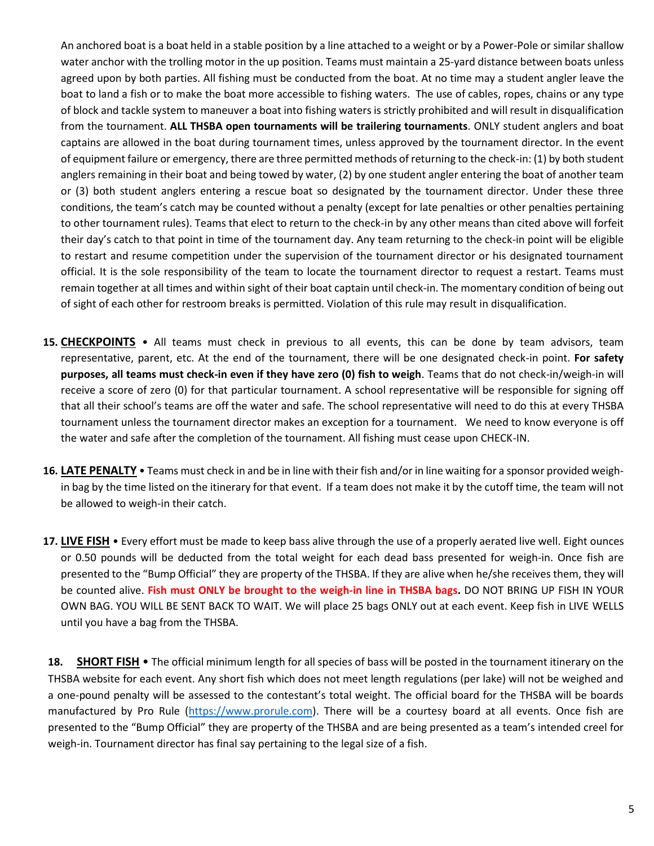An anchored boat is a boat held in a stable position by a line attached to a weight or by a Power-Pole or similar shallow water anchor with the trolling motor in the up position. Teams must maintain a 25-yard distance between boats unless agreed upon by both parties. All fishing must be conducted from the boat. At no time may a student angler leave the boat to land a fish or to make the boat more accessible to fishing waters. The use of cables, ropes, chains or any type of block and tackle system to maneuver a boat into fishing waters is strictly prohibited and will result in disqualification from the tournament. **ALL THSBA open tournaments will be trailering tournaments**. ONLY student anglers and boat captains are allowed in the boat during tournament times, unless approved by the tournament director. In the event of equipment failure or emergency, there are three permitted methods of returning to the check-in: (1) by both student anglers remaining in their boat and being towed by water, (2) by one student angler entering the boat of another team or (3) both student anglers entering a rescue boat so designated by the tournament director. Under these three conditions, the team's catch may be counted without a penalty (except for late penalties or other penalties pertaining to other tournament rules). Teams that elect to return to the check-in by any other means than cited above will forfeit their day's catch to that point in time of the tournament day. Any team returning to the check-in point will be eligible to restart and resume competition under the supervision of the tournament director or his designated tournament official. It is the sole responsibility of the team to locate the tournament director to request a restart. Teams must remain together at all times and within sight of their boat captain until check-in. The momentary condition of being out of sight of each other for restroom breaks is permitted. Violation of this rule may result in disqualification.

- **15. CHECKPOINTS** All teams must check in previous to all events, this can be done by team advisors, team representative, parent, etc. At the end of the tournament, there will be one designated check-in point. **For safety purposes, all teams must check-in even if they have zero (0) fish to weigh**. Teams that do not check-in/weigh-in will receive a score of zero (0) for that particular tournament. A school representative will be responsible for signing off that all their school's teams are off the water and safe. The school representative will need to do this at every THSBA tournament unless the tournament director makes an exception for a tournament. We need to know everyone is off the water and safe after the completion of the tournament. All fishing must cease upon CHECK-IN.
- **16. LATE PENALTY** Teams must check in and be in line with their fish and/or in line waiting for a sponsor provided weighin bag by the time listed on the itinerary for that event. If a team does not make it by the cutoff time, the team will not be allowed to weigh-in their catch.
- **17. LIVE FISH** Every effort must be made to keep bass alive through the use of a properly aerated live well. Eight ounces or 0.50 pounds will be deducted from the total weight for each dead bass presented for weigh-in. Once fish are presented to the "Bump Official" they are property of the THSBA. If they are alive when he/she receives them, they will be counted alive. **Fish must ONLY be brought to the weigh-in line in THSBA bags.** DO NOT BRING UP FISH IN YOUR OWN BAG. YOU WILL BE SENT BACK TO WAIT. We will place 25 bags ONLY out at each event. Keep fish in LIVE WELLS until you have a bag from the THSBA.

**18. SHORT FISH** • The official minimum length for all species of bass will be posted in the tournament itinerary on the THSBA website for each event. Any short fish which does not meet length regulations (per lake) will not be weighed and a one-pound penalty will be assessed to the contestant's total weight. The official board for the THSBA will be boards manufactured by Pro Rule [\(https://www.prorule.com\)](https://www.prorule.com/). There will be a courtesy board at all events. Once fish are presented to the "Bump Official" they are property of the THSBA and are being presented as a team's intended creel for weigh-in. Tournament director has final say pertaining to the legal size of a fish.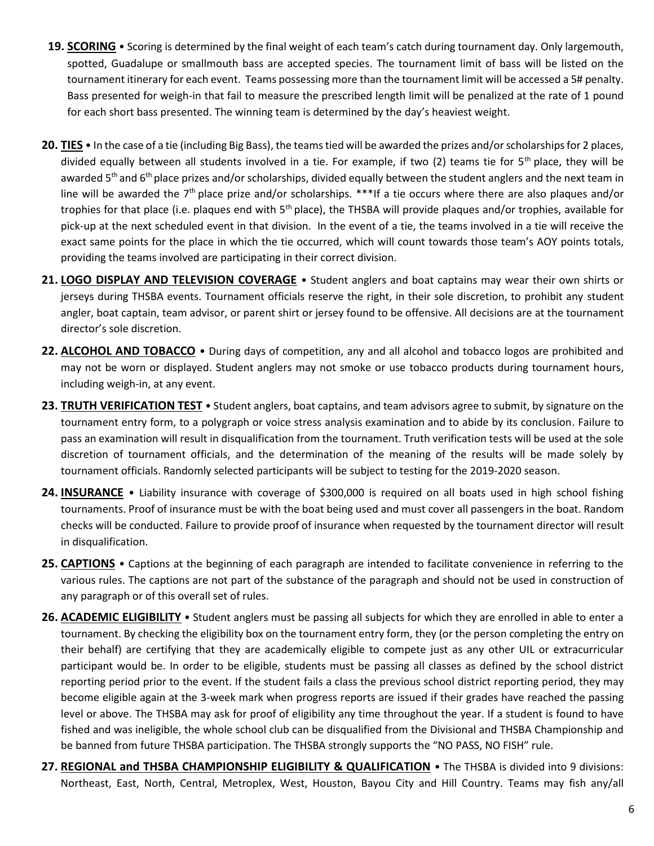- **19. SCORING** Scoring is determined by the final weight of each team's catch during tournament day. Only largemouth, spotted, Guadalupe or smallmouth bass are accepted species. The tournament limit of bass will be listed on the tournament itinerary for each event. Teams possessing more than the tournament limit will be accessed a 5# penalty. Bass presented for weigh-in that fail to measure the prescribed length limit will be penalized at the rate of 1 pound for each short bass presented. The winning team is determined by the day's heaviest weight.
- **20. TIES** In the case of a tie (including Big Bass), the teams tied will be awarded the prizes and/or scholarships for 2 places, divided equally between all students involved in a tie. For example, if two  $(2)$  teams tie for  $5<sup>th</sup>$  place, they will be awarded  $5<sup>th</sup>$  and  $6<sup>th</sup>$  place prizes and/or scholarships, divided equally between the student anglers and the next team in line will be awarded the  $7<sup>th</sup>$  place prize and/or scholarships. \*\*\*If a tie occurs where there are also plaques and/or trophies for that place (i.e. plaques end with  $5<sup>th</sup>$  place), the THSBA will provide plaques and/or trophies, available for pick-up at the next scheduled event in that division. In the event of a tie, the teams involved in a tie will receive the exact same points for the place in which the tie occurred, which will count towards those team's AOY points totals, providing the teams involved are participating in their correct division.
- **21. LOGO DISPLAY AND TELEVISION COVERAGE** Student anglers and boat captains may wear their own shirts or jerseys during THSBA events. Tournament officials reserve the right, in their sole discretion, to prohibit any student angler, boat captain, team advisor, or parent shirt or jersey found to be offensive. All decisions are at the tournament director's sole discretion.
- **22. ALCOHOL AND TOBACCO** During days of competition, any and all alcohol and tobacco logos are prohibited and may not be worn or displayed. Student anglers may not smoke or use tobacco products during tournament hours, including weigh-in, at any event.
- **23. TRUTH VERIFICATION TEST** Student anglers, boat captains, and team advisors agree to submit, by signature on the tournament entry form, to a polygraph or voice stress analysis examination and to abide by its conclusion. Failure to pass an examination will result in disqualification from the tournament. Truth verification tests will be used at the sole discretion of tournament officials, and the determination of the meaning of the results will be made solely by tournament officials. Randomly selected participants will be subject to testing for the 2019-2020 season.
- **24. INSURANCE** Liability insurance with coverage of \$300,000 is required on all boats used in high school fishing tournaments. Proof of insurance must be with the boat being used and must cover all passengers in the boat. Random checks will be conducted. Failure to provide proof of insurance when requested by the tournament director will result in disqualification.
- **25. CAPTIONS** Captions at the beginning of each paragraph are intended to facilitate convenience in referring to the various rules. The captions are not part of the substance of the paragraph and should not be used in construction of any paragraph or of this overall set of rules.
- **26. ACADEMIC ELIGIBILITY** Student anglers must be passing all subjects for which they are enrolled in able to enter a tournament. By checking the eligibility box on the tournament entry form, they (or the person completing the entry on their behalf) are certifying that they are academically eligible to compete just as any other UIL or extracurricular participant would be. In order to be eligible, students must be passing all classes as defined by the school district reporting period prior to the event. If the student fails a class the previous school district reporting period, they may become eligible again at the 3-week mark when progress reports are issued if their grades have reached the passing level or above. The THSBA may ask for proof of eligibility any time throughout the year. If a student is found to have fished and was ineligible, the whole school club can be disqualified from the Divisional and THSBA Championship and be banned from future THSBA participation. The THSBA strongly supports the "NO PASS, NO FISH" rule.
- **27. REGIONAL and THSBA CHAMPIONSHIP ELIGIBILITY & QUALIFICATION** The THSBA is divided into 9 divisions: Northeast, East, North, Central, Metroplex, West, Houston, Bayou City and Hill Country. Teams may fish any/all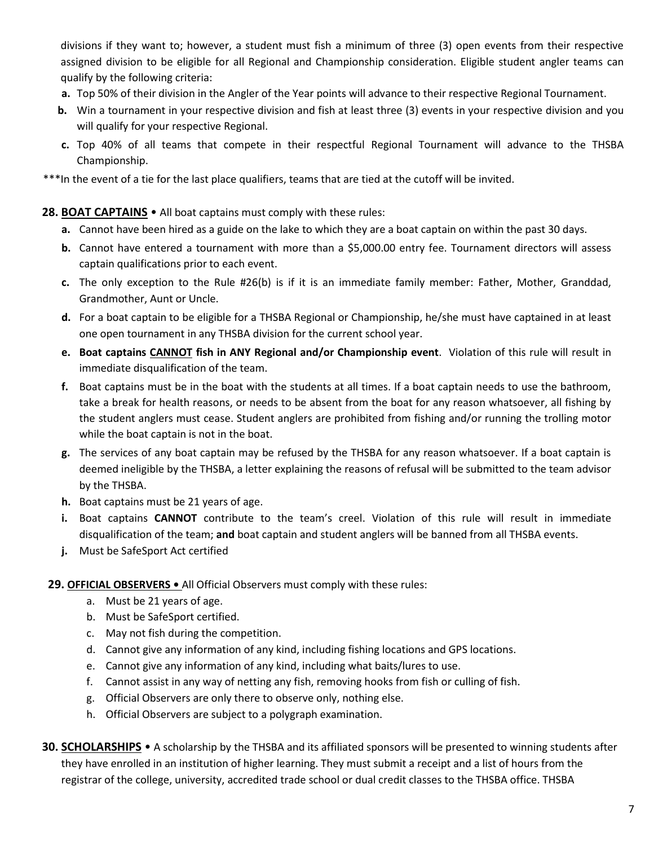divisions if they want to; however, a student must fish a minimum of three (3) open events from their respective assigned division to be eligible for all Regional and Championship consideration. Eligible student angler teams can qualify by the following criteria:

- **a.** Top 50% of their division in the Angler of the Year points will advance to their respective Regional Tournament.
- **b.** Win a tournament in your respective division and fish at least three (3) events in your respective division and you will qualify for your respective Regional.
- **c.** Top 40% of all teams that compete in their respectful Regional Tournament will advance to the THSBA Championship.

\*\*\*In the event of a tie for the last place qualifiers, teams that are tied at the cutoff will be invited.

### **28. BOAT CAPTAINS** • All boat captains must comply with these rules:

- **a.** Cannot have been hired as a guide on the lake to which they are a boat captain on within the past 30 days.
- **b.** Cannot have entered a tournament with more than a \$5,000.00 entry fee. Tournament directors will assess captain qualifications prior to each event.
- **c.** The only exception to the Rule #26(b) is if it is an immediate family member: Father, Mother, Granddad, Grandmother, Aunt or Uncle.
- **d.** For a boat captain to be eligible for a THSBA Regional or Championship, he/she must have captained in at least one open tournament in any THSBA division for the current school year.
- **e. Boat captains CANNOT fish in ANY Regional and/or Championship event**. Violation of this rule will result in immediate disqualification of the team.
- **f.** Boat captains must be in the boat with the students at all times. If a boat captain needs to use the bathroom, take a break for health reasons, or needs to be absent from the boat for any reason whatsoever, all fishing by the student anglers must cease. Student anglers are prohibited from fishing and/or running the trolling motor while the boat captain is not in the boat.
- **g.** The services of any boat captain may be refused by the THSBA for any reason whatsoever. If a boat captain is deemed ineligible by the THSBA, a letter explaining the reasons of refusal will be submitted to the team advisor by the THSBA.
- **h.** Boat captains must be 21 years of age.
- **i.** Boat captains **CANNOT** contribute to the team's creel. Violation of this rule will result in immediate disqualification of the team; **and** boat captain and student anglers will be banned from all THSBA events.
- **j.** Must be SafeSport Act certified
- **29. OFFICIAL OBSERVERS** All Official Observers must comply with these rules:
	- a. Must be 21 years of age.
	- b. Must be SafeSport certified.
	- c. May not fish during the competition.
	- d. Cannot give any information of any kind, including fishing locations and GPS locations.
	- e. Cannot give any information of any kind, including what baits/lures to use.
	- f. Cannot assist in any way of netting any fish, removing hooks from fish or culling of fish.
	- g. Official Observers are only there to observe only, nothing else.
	- h. Official Observers are subject to a polygraph examination.
- **30. SCHOLARSHIPS** A scholarship by the THSBA and its affiliated sponsors will be presented to winning students after they have enrolled in an institution of higher learning. They must submit a receipt and a list of hours from the registrar of the college, university, accredited trade school or dual credit classes to the THSBA office. THSBA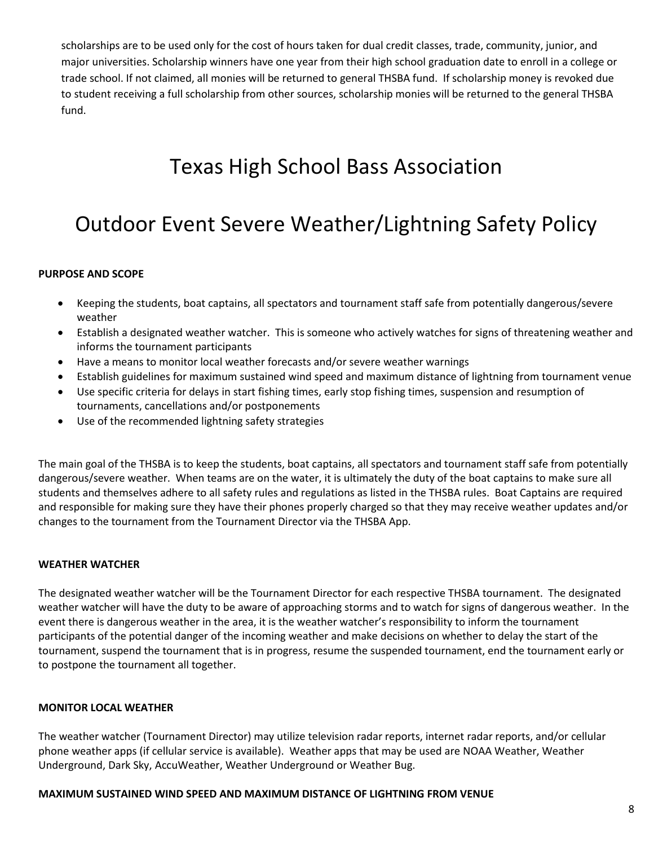scholarships are to be used only for the cost of hours taken for dual credit classes, trade, community, junior, and major universities. Scholarship winners have one year from their high school graduation date to enroll in a college or trade school. If not claimed, all monies will be returned to general THSBA fund. If scholarship money is revoked due to student receiving a full scholarship from other sources, scholarship monies will be returned to the general THSBA fund.

# Texas High School Bass Association

# Outdoor Event Severe Weather/Lightning Safety Policy

#### **PURPOSE AND SCOPE**

- Keeping the students, boat captains, all spectators and tournament staff safe from potentially dangerous/severe weather
- Establish a designated weather watcher. This is someone who actively watches for signs of threatening weather and informs the tournament participants
- Have a means to monitor local weather forecasts and/or severe weather warnings
- Establish guidelines for maximum sustained wind speed and maximum distance of lightning from tournament venue
- Use specific criteria for delays in start fishing times, early stop fishing times, suspension and resumption of tournaments, cancellations and/or postponements
- Use of the recommended lightning safety strategies

The main goal of the THSBA is to keep the students, boat captains, all spectators and tournament staff safe from potentially dangerous/severe weather. When teams are on the water, it is ultimately the duty of the boat captains to make sure all students and themselves adhere to all safety rules and regulations as listed in the THSBA rules. Boat Captains are required and responsible for making sure they have their phones properly charged so that they may receive weather updates and/or changes to the tournament from the Tournament Director via the THSBA App.

#### **WEATHER WATCHER**

The designated weather watcher will be the Tournament Director for each respective THSBA tournament. The designated weather watcher will have the duty to be aware of approaching storms and to watch for signs of dangerous weather. In the event there is dangerous weather in the area, it is the weather watcher's responsibility to inform the tournament participants of the potential danger of the incoming weather and make decisions on whether to delay the start of the tournament, suspend the tournament that is in progress, resume the suspended tournament, end the tournament early or to postpone the tournament all together.

#### **MONITOR LOCAL WEATHER**

The weather watcher (Tournament Director) may utilize television radar reports, internet radar reports, and/or cellular phone weather apps (if cellular service is available). Weather apps that may be used are NOAA Weather, Weather Underground, Dark Sky, AccuWeather, Weather Underground or Weather Bug.

#### **MAXIMUM SUSTAINED WIND SPEED AND MAXIMUM DISTANCE OF LIGHTNING FROM VENUE**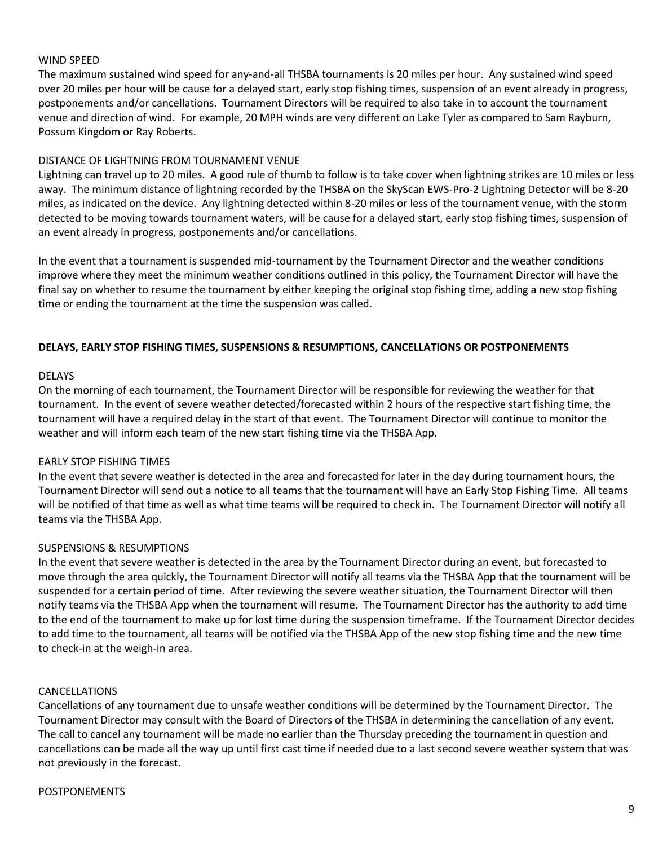#### WIND SPEED

The maximum sustained wind speed for any-and-all THSBA tournaments is 20 miles per hour. Any sustained wind speed over 20 miles per hour will be cause for a delayed start, early stop fishing times, suspension of an event already in progress, postponements and/or cancellations. Tournament Directors will be required to also take in to account the tournament venue and direction of wind. For example, 20 MPH winds are very different on Lake Tyler as compared to Sam Rayburn, Possum Kingdom or Ray Roberts.

#### DISTANCE OF LIGHTNING FROM TOURNAMENT VENUE

Lightning can travel up to 20 miles. A good rule of thumb to follow is to take cover when lightning strikes are 10 miles or less away. The minimum distance of lightning recorded by the THSBA on the SkyScan EWS-Pro-2 Lightning Detector will be 8-20 miles, as indicated on the device. Any lightning detected within 8-20 miles or less of the tournament venue, with the storm detected to be moving towards tournament waters, will be cause for a delayed start, early stop fishing times, suspension of an event already in progress, postponements and/or cancellations.

In the event that a tournament is suspended mid-tournament by the Tournament Director and the weather conditions improve where they meet the minimum weather conditions outlined in this policy, the Tournament Director will have the final say on whether to resume the tournament by either keeping the original stop fishing time, adding a new stop fishing time or ending the tournament at the time the suspension was called.

#### **DELAYS, EARLY STOP FISHING TIMES, SUSPENSIONS & RESUMPTIONS, CANCELLATIONS OR POSTPONEMENTS**

#### DELAYS

On the morning of each tournament, the Tournament Director will be responsible for reviewing the weather for that tournament. In the event of severe weather detected/forecasted within 2 hours of the respective start fishing time, the tournament will have a required delay in the start of that event. The Tournament Director will continue to monitor the weather and will inform each team of the new start fishing time via the THSBA App.

#### EARLY STOP FISHING TIMES

In the event that severe weather is detected in the area and forecasted for later in the day during tournament hours, the Tournament Director will send out a notice to all teams that the tournament will have an Early Stop Fishing Time. All teams will be notified of that time as well as what time teams will be required to check in. The Tournament Director will notify all teams via the THSBA App.

#### SUSPENSIONS & RESUMPTIONS

In the event that severe weather is detected in the area by the Tournament Director during an event, but forecasted to move through the area quickly, the Tournament Director will notify all teams via the THSBA App that the tournament will be suspended for a certain period of time. After reviewing the severe weather situation, the Tournament Director will then notify teams via the THSBA App when the tournament will resume. The Tournament Director has the authority to add time to the end of the tournament to make up for lost time during the suspension timeframe. If the Tournament Director decides to add time to the tournament, all teams will be notified via the THSBA App of the new stop fishing time and the new time to check-in at the weigh-in area.

#### CANCELLATIONS

Cancellations of any tournament due to unsafe weather conditions will be determined by the Tournament Director. The Tournament Director may consult with the Board of Directors of the THSBA in determining the cancellation of any event. The call to cancel any tournament will be made no earlier than the Thursday preceding the tournament in question and cancellations can be made all the way up until first cast time if needed due to a last second severe weather system that was not previously in the forecast.